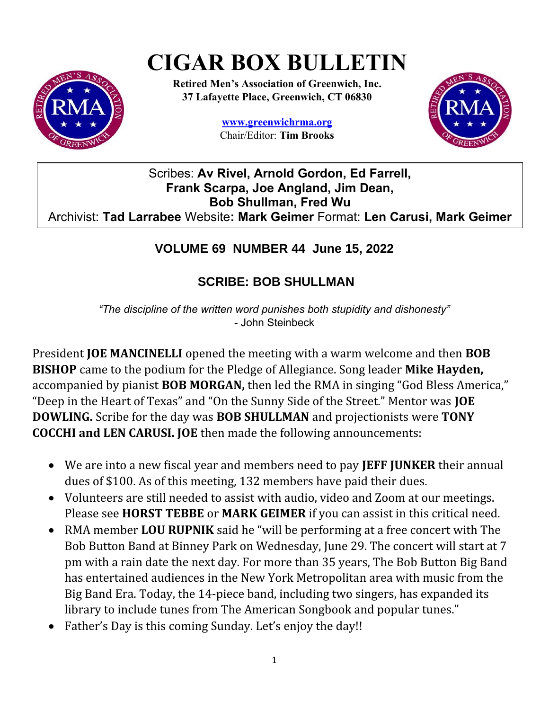# **CIGAR BOX BULLETIN**



**Retired Men's Association of Greenwich, Inc. 37 Lafayette Place, Greenwich, CT 06830**

> **www.greenwichrma.org** Chair/Editor: **Tim Brooks**



Scribes: **Av Rivel, Arnold Gordon, Ed Farrell, Frank Scarpa, Joe Angland, Jim Dean, Bob Shullman, Fred Wu** Archivist: **Tad Larrabee** Website**: Mark Geimer** Format: **Len Carusi, Mark Geimer**

## **VOLUME 69 NUMBER 44 June 15, 2022**

# **SCRIBE: BOB SHULLMAN**

*"The discipline of the written word punishes both stupidity and dishonesty"* - John Steinbeck

President **JOE MANCINELLI** opened the meeting with a warm welcome and then **BOB BISHOP** came to the podium for the Pledge of Allegiance. Song leader **Mike Hayden,**  accompanied by pianist **BOB MORGAN,** then led the RMA in singing "God Bless America," "Deep in the Heart of Texas" and "On the Sunny Side of the Street." Mentor was **JOE DOWLING.** Scribe for the day was **BOB SHULLMAN** and projectionists were **TONY COCCHI and LEN CARUSI. JOE** then made the following announcements:

- We are into a new fiscal year and members need to pay **JEFF JUNKER** their annual dues of \$100. As of this meeting, 132 members have paid their dues.
- Volunteers are still needed to assist with audio, video and Zoom at our meetings. Please see **HORST TEBBE** or **MARK GEIMER** if you can assist in this critical need.
- RMA member **LOU RUPNIK** said he "will be performing at a free concert with The Bob Button Band at Binney Park on Wednesday, June 29. The concert will start at 7 pm with a rain date the next day. For more than 35 years, The Bob Button Big Band has entertained audiences in the New York Metropolitan area with music from the Big Band Era. Today, the 14-piece band, including two singers, has expanded its library to include tunes from The American Songbook and popular tunes."
- Father's Day is this coming Sunday. Let's enjoy the day!!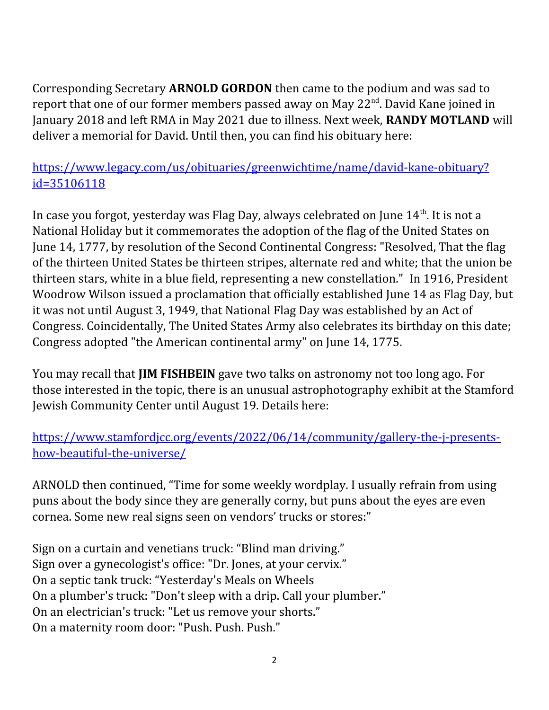Corresponding Secretary **ARNOLD GORDON** then came to the podium and was sad to report that one of our former members passed away on May  $22<sup>nd</sup>$ . David Kane joined in January 2018 and left RMA in May 2021 due to illness. Next week, **RANDY MOTLAND** will deliver a memorial for David. Until then, you can find his obituary here:

[https://www.legacy.com/us/obituaries/greenwichtime/name/david-kane-obituary?](https://www.legacy.com/us/obituaries/greenwichtime/name/david-kane-obituary?id=35106118) [id=35106118](https://www.legacy.com/us/obituaries/greenwichtime/name/david-kane-obituary?id=35106118)

In case you forgot, yesterday was Flag Day, always celebrated on June  $14<sup>th</sup>$ . It is not a National Holiday but it commemorates the adoption of the flag of the United States on June 14, 1777, by resolution of the Second Continental Congress: "Resolved, That the flag of the thirteen United States be thirteen stripes, alternate red and white; that the union be thirteen stars, white in a blue field, representing a new constellation." In 1916, President Woodrow Wilson issued a proclamation that officially established June 14 as Flag Day, but it was not until August 3, 1949, that National Flag Day was established by an Act of Congress. Coincidentally, The United States Army also celebrates its birthday on this date; Congress adopted "the American continental army" on June 14, 1775.

You may recall that **JIM FISHBEIN** gave two talks on astronomy not too long ago. For those interested in the topic, there is an unusual astrophotography exhibit at the Stamford Jewish Community Center until August 19. Details here:

[https://www.stamfordjcc.org/events/2022/06/14/community/gallery-the-j-presents](https://www.stamfordjcc.org/events/2022/06/14/community/gallery-the-j-presents-how-beautiful-the-universe/)[how-beautiful-the-universe/](https://www.stamfordjcc.org/events/2022/06/14/community/gallery-the-j-presents-how-beautiful-the-universe/)

ARNOLD then continued, "Time for some weekly wordplay. I usually refrain from using puns about the body since they are generally corny, but puns about the eyes are even cornea. Some new real signs seen on vendors' trucks or stores:"

Sign on a curtain and venetians truck: "Blind man driving." Sign over a gynecologist's office: "Dr. Jones, at your cervix." On a septic tank truck: "Yesterday's Meals on Wheels On a plumber's truck: "Don't sleep with a drip. Call your plumber." On an electrician's truck: "Let us remove your shorts." On a maternity room door: "Push. Push. Push."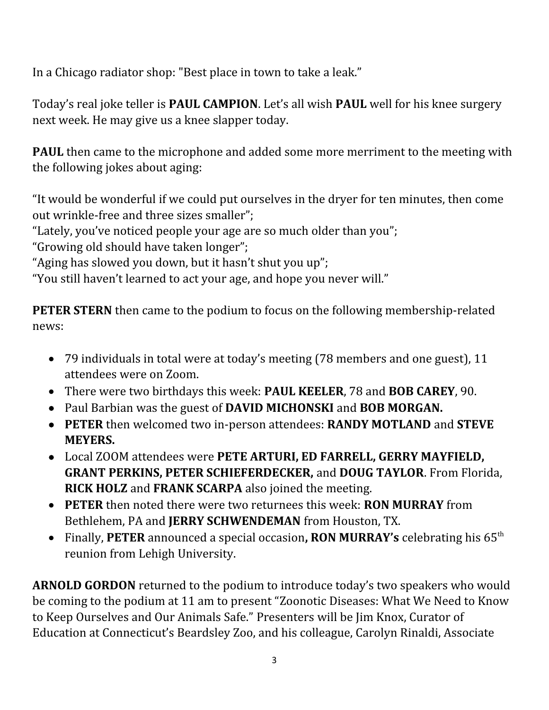In a Chicago radiator shop: "Best place in town to take a leak."

Today's real joke teller is **PAUL CAMPION**. Let's all wish **PAUL** well for his knee surgery next week. He may give us a knee slapper today.

**PAUL** then came to the microphone and added some more merriment to the meeting with the following jokes about aging:

"It would be wonderful if we could put ourselves in the dryer for ten minutes, then come out wrinkle-free and three sizes smaller";

"Lately, you've noticed people your age are so much older than you";

"Growing old should have taken longer";

"Aging has slowed you down, but it hasn't shut you up";

"You still haven't learned to act your age, and hope you never will."

**PETER STERN** then came to the podium to focus on the following membership-related news:

- 79 individuals in total were at today's meeting (78 members and one guest), 11 attendees were on Zoom.
- There were two birthdays this week: **PAUL KEELER**, 78 and **BOB CAREY**, 90.
- Paul Barbian was the guest of **DAVID MICHONSKI** and **BOB MORGAN.**
- **PETER** then welcomed two in-person attendees: **RANDY MOTLAND** and **STEVE MEYERS.**
- Local ZOOM attendees were **PETE ARTURI, ED FARRELL, GERRY MAYFIELD, GRANT PERKINS, PETER SCHIEFERDECKER,** and **DOUG TAYLOR**. From Florida, **RICK HOLZ** and **FRANK SCARPA** also joined the meeting.
- **PETER** then noted there were two returnees this week: **RON MURRAY** from Bethlehem, PA and **JERRY SCHWENDEMAN** from Houston, TX.
- Finally, **PETER** announced a special occasion**, RON MURRAY's** celebrating his 65th reunion from Lehigh University.

**ARNOLD GORDON** returned to the podium to introduce today's two speakers who would be coming to the podium at 11 am to present "Zoonotic Diseases: What We Need to Know to Keep Ourselves and Our Animals Safe." Presenters will be Jim Knox, Curator of Education at Connecticut's Beardsley Zoo, and his colleague, Carolyn Rinaldi, Associate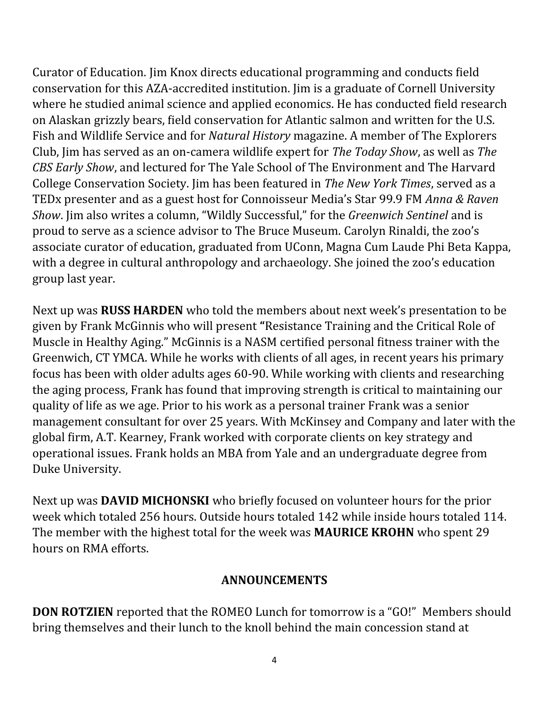Curator of Education. Jim Knox directs educational programming and conducts field conservation for this AZA-accredited institution. Jim is a graduate of Cornell University where he studied animal science and applied economics. He has conducted field research on Alaskan grizzly bears, field conservation for Atlantic salmon and written for the U.S. Fish and Wildlife Service and for *Natural History* magazine. A member of The Explorers Club, Jim has served as an on-camera wildlife expert for *The Today Show*, as well as *The CBS Early Show*, and lectured for The Yale School of The Environment and The Harvard College Conservation Society. Jim has been featured in *The New York Times*, served as a TEDx presenter and as a guest host for Connoisseur Media's Star 99.9 FM *Anna & Raven Show*. Jim also writes a column, "Wildly Successful," for the *Greenwich Sentinel* and is proud to serve as a science advisor to The Bruce Museum. Carolyn Rinaldi, the zoo's associate curator of education, graduated from UConn, Magna Cum Laude Phi Beta Kappa, with a degree in cultural anthropology and archaeology. She joined the zoo's education group last year.

Next up was **RUSS HARDEN** who told the members about next week's presentation to be given by Frank McGinnis who will present **"**Resistance Training and the Critical Role of Muscle in Healthy Aging." McGinnis is a NASM certified personal fitness trainer with the Greenwich, CT YMCA. While he works with clients of all ages, in recent years his primary focus has been with older adults ages 60-90. While working with clients and researching the aging process, Frank has found that improving strength is critical to maintaining our quality of life as we age. Prior to his work as a personal trainer Frank was a senior management consultant for over 25 years. With McKinsey and Company and later with the global firm, A.T. Kearney, Frank worked with corporate clients on key strategy and operational issues. Frank holds an MBA from Yale and an undergraduate degree from Duke University.

Next up was **DAVID MICHONSKI** who briefly focused on volunteer hours for the prior week which totaled 256 hours. Outside hours totaled 142 while inside hours totaled 114. The member with the highest total for the week was **MAURICE KROHN** who spent 29 hours on RMA efforts.

#### **ANNOUNCEMENTS**

**DON ROTZIEN** reported that the ROMEO Lunch for tomorrow is a "GO!" Members should bring themselves and their lunch to the knoll behind the main concession stand at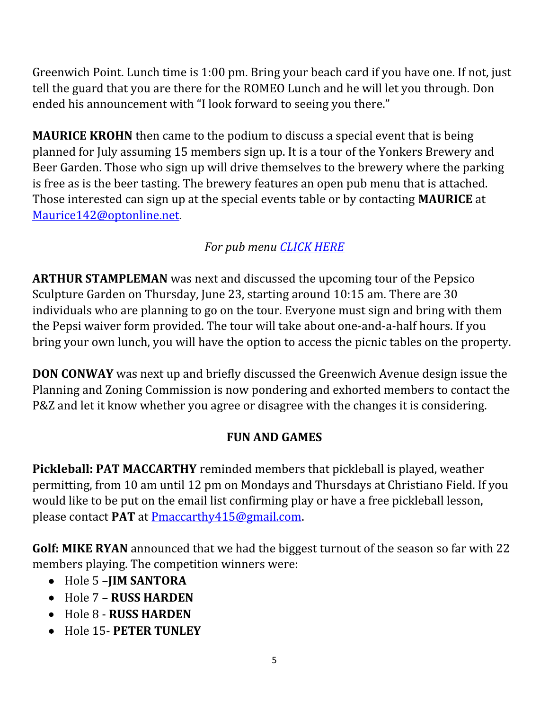Greenwich Point. Lunch time is 1:00 pm. Bring your beach card if you have one. If not, just tell the guard that you are there for the ROMEO Lunch and he will let you through. Don ended his announcement with "I look forward to seeing you there."

**MAURICE KROHN** then came to the podium to discuss a special event that is being planned for July assuming 15 members sign up. It is a tour of the Yonkers Brewery and Beer Garden. Those who sign up will drive themselves to the brewery where the parking is free as is the beer tasting. The brewery features an open pub menu that is attached. Those interested can sign up at the special events table or by contacting **MAURICE** at [Maurice142@optonline.net](mailto:Maurice142@optonline.net).

## *For pub menu [CLICK HERE](https://drive.google.com/file/d/1c1qU3AInDBpKOXg91XdFDJR0YJv0SUfn/view?usp=sharing)*

**ARTHUR STAMPLEMAN** was next and discussed the upcoming tour of the Pepsico Sculpture Garden on Thursday, June 23, starting around 10:15 am. There are 30 individuals who are planning to go on the tour. Everyone must sign and bring with them the Pepsi waiver form provided. The tour will take about one-and-a-half hours. If you bring your own lunch, you will have the option to access the picnic tables on the property.

**DON CONWAY** was next up and briefly discussed the Greenwich Avenue design issue the Planning and Zoning Commission is now pondering and exhorted members to contact the P&Z and let it know whether you agree or disagree with the changes it is considering.

#### **FUN AND GAMES**

**Pickleball: PAT MACCARTHY** reminded members that pickleball is played, weather permitting, from 10 am until 12 pm on Mondays and Thursdays at Christiano Field. If you would like to be put on the email list confirming play or have a free pickleball lesson, please contact **PAT** at [Pmaccarthy415@gmail.com](mailto:Pmaccarthy415@gmail.com).

**Golf: MIKE RYAN** announced that we had the biggest turnout of the season so far with 22 members playing. The competition winners were:

- Hole 5 –**JIM SANTORA**
- Hole 7 **RUSS HARDEN**
- Hole 8 **RUSS HARDEN**
- Hole 15- **PETER TUNLEY**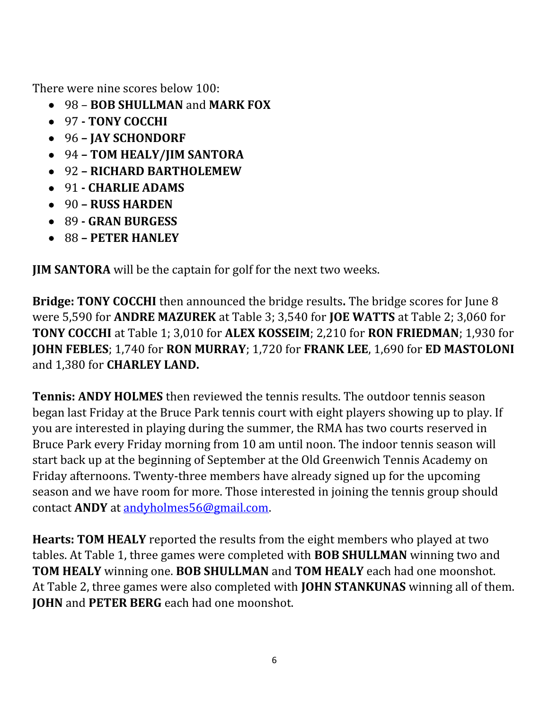There were nine scores below 100:

- 98 **BOB SHULLMAN** and **MARK FOX**
- 97  **TONY COCCHI**
- 96 **JAY SCHONDORF**
- 94 **TOM HEALY/JIM SANTORA**
- 92 **RICHARD BARTHOLEMEW**
- 91 **CHARLIE ADAMS**
- 90 **RUSS HARDEN**
- 89 **GRAN BURGESS**
- 88 **PETER HANLEY**

**JIM SANTORA** will be the captain for golf for the next two weeks.

**Bridge: TONY COCCHI** then announced the bridge results**.** The bridge scores for June 8 were 5,590 for **ANDRE MAZUREK** at Table 3; 3,540 for **JOE WATTS** at Table 2; 3,060 for **TONY COCCHI** at Table 1; 3,010 for **ALEX KOSSEIM**; 2,210 for **RON FRIEDMAN**; 1,930 for **JOHN FEBLES**; 1,740 for **RON MURRAY**; 1,720 for **FRANK LEE**, 1,690 for **ED MASTOLONI** and 1,380 for **CHARLEY LAND.**

**Tennis: ANDY HOLMES** then reviewed the tennis results. The outdoor tennis season began last Friday at the Bruce Park tennis court with eight players showing up to play. If you are interested in playing during the summer, the RMA has two courts reserved in Bruce Park every Friday morning from 10 am until noon. The indoor tennis season will start back up at the beginning of September at the Old Greenwich Tennis Academy on Friday afternoons. Twenty-three members have already signed up for the upcoming season and we have room for more. Those interested in joining the tennis group should contact **ANDY** at [andyholmes56@gmail.com.](mailto:andyholmes56@gmail.com)

**Hearts: TOM HEALY** reported the results from the eight members who played at two tables. At Table 1, three games were completed with **BOB SHULLMAN** winning two and **TOM HEALY** winning one. **BOB SHULLMAN** and **TOM HEALY** each had one moonshot. At Table 2, three games were also completed with **JOHN STANKUNAS** winning all of them. **JOHN** and **PETER BERG** each had one moonshot.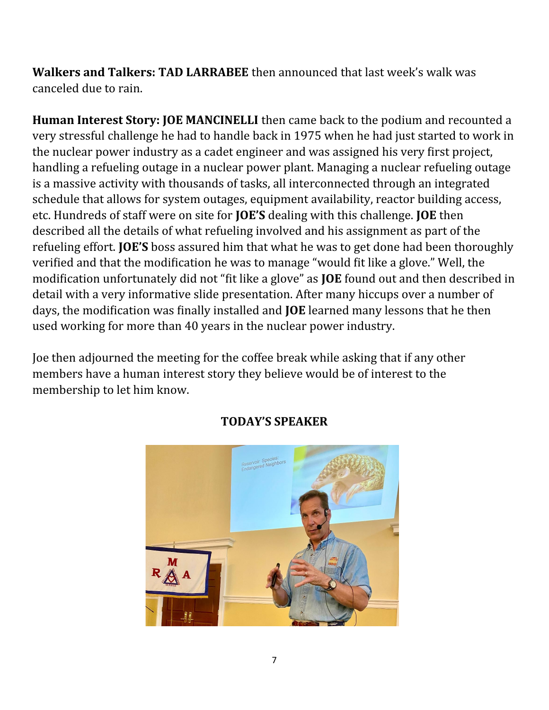**Walkers and Talkers: TAD LARRABEE** then announced that last week's walk was canceled due to rain.

**Human Interest Story: JOE MANCINELLI** then came back to the podium and recounted a very stressful challenge he had to handle back in 1975 when he had just started to work in the nuclear power industry as a cadet engineer and was assigned his very first project, handling a refueling outage in a nuclear power plant. Managing a nuclear refueling outage is a massive activity with thousands of tasks, all interconnected through an integrated schedule that allows for system outages, equipment availability, reactor building access, etc. Hundreds of staff were on site for **JOE'S** dealing with this challenge. **JOE** then described all the details of what refueling involved and his assignment as part of the refueling effort. **JOE'S** boss assured him that what he was to get done had been thoroughly verified and that the modification he was to manage "would fit like a glove." Well, the modification unfortunately did not "fit like a glove" as **JOE** found out and then described in detail with a very informative slide presentation. After many hiccups over a number of days, the modification was finally installed and **JOE** learned many lessons that he then used working for more than 40 years in the nuclear power industry.

Joe then adjourned the meeting for the coffee break while asking that if any other members have a human interest story they believe would be of interest to the membership to let him know.



#### **TODAY'S SPEAKER**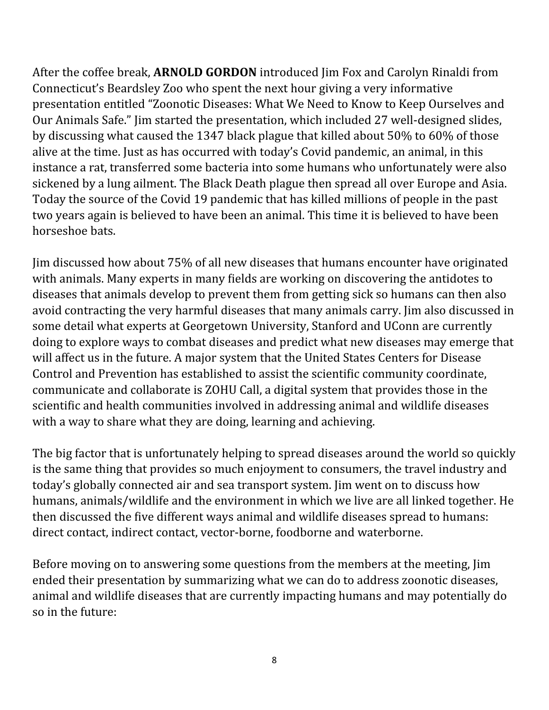After the coffee break, **ARNOLD GORDON** introduced Jim Fox and Carolyn Rinaldi from Connecticut's Beardsley Zoo who spent the next hour giving a very informative presentation entitled "Zoonotic Diseases: What We Need to Know to Keep Ourselves and Our Animals Safe." Jim started the presentation, which included 27 well-designed slides, by discussing what caused the 1347 black plague that killed about 50% to 60% of those alive at the time. Just as has occurred with today's Covid pandemic, an animal, in this instance a rat, transferred some bacteria into some humans who unfortunately were also sickened by a lung ailment. The Black Death plague then spread all over Europe and Asia. Today the source of the Covid 19 pandemic that has killed millions of people in the past two years again is believed to have been an animal. This time it is believed to have been horseshoe bats.

Jim discussed how about 75% of all new diseases that humans encounter have originated with animals. Many experts in many fields are working on discovering the antidotes to diseases that animals develop to prevent them from getting sick so humans can then also avoid contracting the very harmful diseases that many animals carry. Jim also discussed in some detail what experts at Georgetown University, Stanford and UConn are currently doing to explore ways to combat diseases and predict what new diseases may emerge that will affect us in the future. A major system that the United States Centers for Disease Control and Prevention has established to assist the scientific community coordinate, communicate and collaborate is ZOHU Call, a digital system that provides those in the scientific and health communities involved in addressing animal and wildlife diseases with a way to share what they are doing, learning and achieving.

The big factor that is unfortunately helping to spread diseases around the world so quickly is the same thing that provides so much enjoyment to consumers, the travel industry and today's globally connected air and sea transport system. Jim went on to discuss how humans, animals/wildlife and the environment in which we live are all linked together. He then discussed the five different ways animal and wildlife diseases spread to humans: direct contact, indirect contact, vector-borne, foodborne and waterborne.

Before moving on to answering some questions from the members at the meeting, Jim ended their presentation by summarizing what we can do to address zoonotic diseases, animal and wildlife diseases that are currently impacting humans and may potentially do so in the future: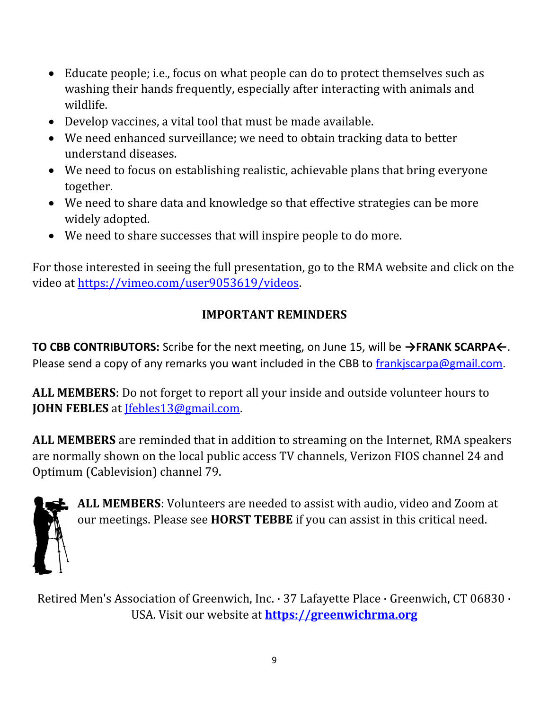- Educate people; i.e., focus on what people can do to protect themselves such as washing their hands frequently, especially after interacting with animals and wildlife.
- Develop vaccines, a vital tool that must be made available.
- We need enhanced surveillance; we need to obtain tracking data to better understand diseases.
- We need to focus on establishing realistic, achievable plans that bring everyone together.
- We need to share data and knowledge so that effective strategies can be more widely adopted.
- We need to share successes that will inspire people to do more.

For those interested in seeing the full presentation, go to the RMA website and click on the video at [https://vimeo.com/user9053619/videos.](https://vimeo.com/user9053619/videos)

# **IMPORTANT REMINDERS**

**TO CBB CONTRIBUTORS:** Scribe for the next meeting, on June 15, will be **→FRANK SCARPA←**. Please send a copy of any remarks you want included in the CBB to frankiscarpa@gmail.com.

**ALL MEMBERS**: Do not forget to report all your inside and outside volunteer hours to **JOHN FEBLES** at [Jfebles13@gmail.com.](mailto:Jfebles13@gmail.com)

**ALL MEMBERS** are reminded that in addition to streaming on the Internet, RMA speakers are normally shown on the local public access TV channels, Verizon FIOS channel 24 and Optimum (Cablevision) channel 79.



**ALL MEMBERS**: Volunteers are needed to assist with audio, video and Zoom at our meetings. Please see **HORST TEBBE** if you can assist in this critical need.

Retired Men's Association of Greenwich, Inc. · 37 Lafayette Place · Greenwich, CT 06830 · USA. Visit our website at **[https://greenwichrma.org](https://greenwichrma.org/)**